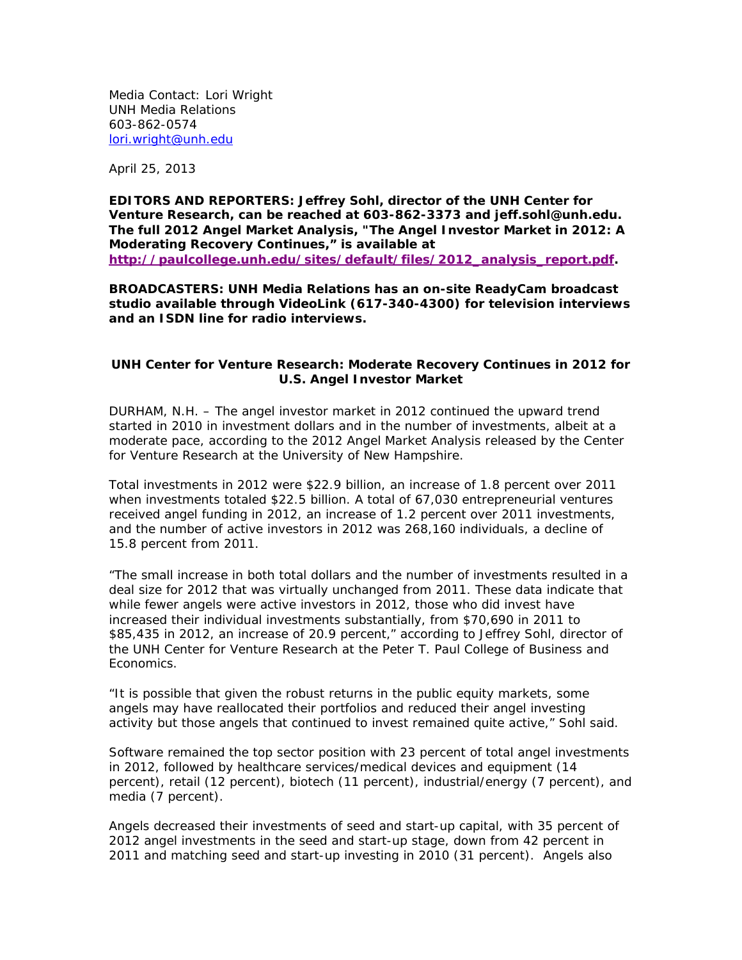Media Contact: Lori Wright UNH Media Relations 603-862-0574 lori.wright@unh.edu

April 25, 2013

**EDITORS AND REPORTERS: Jeffrey Sohl, director of the UNH Center for Venture Research, can be reached at 603-862-3373 and jeff.sohl@unh.edu. The full 2012 Angel Market Analysis, "The Angel Investor Market in 2012: A Moderating Recovery Continues," is available at http://paulcollege.unh.edu/sites/default/files/2012\_analysis\_report.pdf.** 

**BROADCASTERS: UNH Media Relations has an on-site ReadyCam broadcast studio available through VideoLink (617-340-4300) for television interviews and an ISDN line for radio interviews.** 

## **UNH Center for Venture Research: Moderate Recovery Continues in 2012 for U.S. Angel Investor Market**

DURHAM, N.H. – The angel investor market in 2012 continued the upward trend started in 2010 in investment dollars and in the number of investments, albeit at a moderate pace, according to the 2012 Angel Market Analysis released by the Center for Venture Research at the University of New Hampshire.

Total investments in 2012 were \$22.9 billion, an increase of 1.8 percent over 2011 when investments totaled \$22.5 billion. A total of 67,030 entrepreneurial ventures received angel funding in 2012, an increase of 1.2 percent over 2011 investments, and the number of active investors in 2012 was 268,160 individuals, a decline of 15.8 percent from 2011.

"The small increase in both total dollars and the number of investments resulted in a deal size for 2012 that was virtually unchanged from 2011. These data indicate that while fewer angels were active investors in 2012, those who did invest have increased their individual investments substantially, from \$70,690 in 2011 to \$85,435 in 2012, an increase of 20.9 percent," according to Jeffrey Sohl, director of the UNH Center for Venture Research at the Peter T. Paul College of Business and Economics.

"It is possible that given the robust returns in the public equity markets, some angels may have reallocated their portfolios and reduced their angel investing activity but those angels that continued to invest remained quite active," Sohl said.

Software remained the top sector position with 23 percent of total angel investments in 2012, followed by healthcare services/medical devices and equipment (14 percent), retail (12 percent), biotech (11 percent), industrial/energy (7 percent), and media (7 percent).

Angels decreased their investments of seed and start-up capital, with 35 percent of 2012 angel investments in the seed and start-up stage, down from 42 percent in 2011 and matching seed and start-up investing in 2010 (31 percent). Angels also